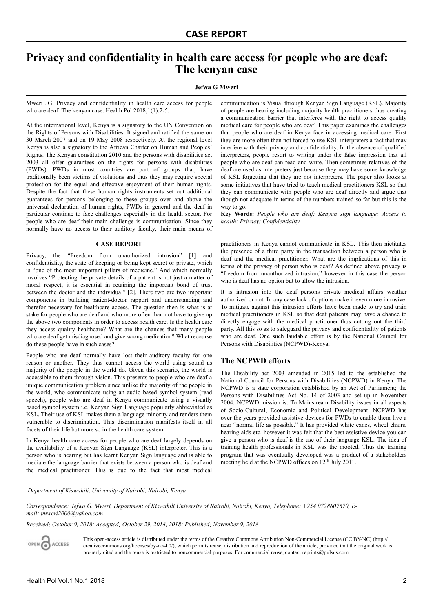# **Privacy and confidentiality in health care access for people who are deaf: The kenyan case**

#### **Jefwa G Mweri**

Mweri JG. Privacy and confidentiality in health care access for people who are deaf: The kenyan case. Health Pol 2018;1(1):2-5.

At the international level, Kenya is a signatory to the UN Convention on the Rights of Persons with Disabilities. It signed and ratified the same on 30 March 2007 and on 19 May 2008 respectively. At the regional level Kenya is also a signatory to the African Charter on Human and Peoples' Rights. The Kenyan constitution 2010 and the persons with disabilities act 2003 all offer guarantees on the rights for persons with disabilities (PWDs). PWDs in most countries are part of groups that, have traditionally been victims of violations and thus they may require special protection for the equal and effective enjoyment of their human rights. Despite the fact that these human rights instruments set out additional guarantees for persons belonging to these groups over and above the universal declaration of human rights, PWDs in general and the deaf in particular continue to face challenges especially in the health sector. For people who are deaf their main challenge is communication. Since they normally have no access to their auditory faculty, their main means of

### **CASE REPORT**

Privacy, the "Freedom from unauthorized intrusion" [1] and confidentiality, the state of keeping or being kept secret or private, which is "one of the most important pillars of medicine." And which normally involves "Protecting the private details of a patient is not just a matter of moral respect, it is essential in retaining the important bond of trust between the doctor and the individual" [2]. There two are two important components in building patient-doctor rapport and understanding and therefor necessary for healthcare access. The question then is what is at stake for people who are deaf and who more often than not have to give up the above two components in order to access health care. Is the health care they access quality healthcare? What are the chances that many people who are deaf get misdiagnosed and give wrong medication? What recourse do these people have in such cases?

People who are deaf normally have lost their auditory faculty for one reason or another. They thus cannot access the world using sound as majority of the people in the world do. Given this scenario, the world is accessible to them through vision. This presents to people who are deaf a unique communication problem since unlike the majority of the people in the world, who communicate using an audio based symbol system (read speech), people who are deaf in Kenya communicate using a visually based symbol system i.e. Kenyan Sign Language popularly abbreviated as KSL. Their use of KSL makes them a language minority and renders them vulnerable to discrimination. This discrimination manifests itself in all facets of their life but more so in the health care system.

In Kenya health care access for people who are deaf largely depends on the availability of a Kenyan Sign Language (KSL) interpreter. This is a person who is hearing but has learnt Kenyan Sign language and is able to mediate the language barrier that exists between a person who is deaf and the medical practitioner. This is due to the fact that most medical

communication is Visual through Kenyan Sign Language (KSL). Majority of people are hearing including majority health practitioners thus creating a communication barrier that interferes with the right to access quality medical care for people who are deaf. This paper examines the challenges that people who are deaf in Kenya face in accessing medical care. First they are more often than not forced to use KSL interpreters a fact that may interfere with their privacy and confidentiality. In the absence of qualified interpreters, people resort to writing under the false impression that all people who are deaf can read and write. Then sometimes relatives of the deaf are used as interpreters just because they may have some knowledge of KSL forgetting that they are not interpreters. The paper also looks at some initiatives that have tried to teach medical practitioners KSL so that they can communicate with people who are deaf directly and argue that though not adequate in terms of the numbers trained so far but this is the way to go.

**Key Words:** *People who are deaf; Kenyan sign language; Access to health; Privacy; Confidentiality*

practitioners in Kenya cannot communicate in KSL. This then nictitates the presence of a third party in the transaction between a person who is deaf and the medical practitioner. What are the implications of this in terms of the privacy of person who is deaf? As defined above privacy is "freedom from unauthorized intrusion," however in this case the person who is deaf has no option but to allow the intrusion.

It is intrusion into the deaf persons private medical affairs weather authorized or not. In any case lack of options make it even more intrusive. To mitigate against this intrusion efforts have been made to try and train medical practitioners in KSL so that deaf patients may have a chance to directly engage with the medical practitioner thus cutting out the third party. All this so as to safeguard the privacy and confidentiality of patients who are deaf. One such laudable effort is by the National Council for Persons with Disabilities (NCPWD)-Kenya.

### **The NCPWD efforts**

The Disability act 2003 amended in 2015 led to the established the National Council for Persons with Disabilities (NCPWD) in Kenya. The NCPWD is a state corporation established by an Act of Parliament; the Persons with Disabilities Act No. 14 of 2003 and set up in November 2004. NCPWD mission is: To Mainstream Disability issues in all aspects of Socio-Cultural, Economic and Political Development. NCPWD has over the years provided assistive devices for PWDs to enable them live a near "normal life as possible." It has provided white canes, wheel chairs, hearing aids etc. however it was felt that the best assistive device you can give a person who is deaf is the use of their language KSL. The idea of training health professionals in KSL was the mooted. Thus the training program that was eventually developed was a product of a stakeholders meeting held at the NCPWD offices on 12<sup>th</sup> July 2011.

 *Department of Kiswahili, University of Nairobi, Nairobi, Kenya*

*Correspondence: Jefwa G. Mweri, Department of Kiswahili,University of Nairobi, Nairobi, Kenya, Telephone: +254 0728607670, Email: [jmweri2000@yahoo.com](mailto:jmweri2000@yahoo.com)*

*Received: October 9, 2018; Accepted: October 29, 2018, 2018; Published: November 9, 2018*

This open-access article is distributed under the terms of the Creative Commons Attribution Non-Commercial License (CC BY-NC) (http:// ACCESS creativecommons.org/licenses/by-nc/4.0/), which permits reuse, distribution and reproduction of the article, provided that the original work is properly cited and the reuse is restricted to noncommercial purposes. For commercial reuse, contact reprints@pulsus.com

OPEN C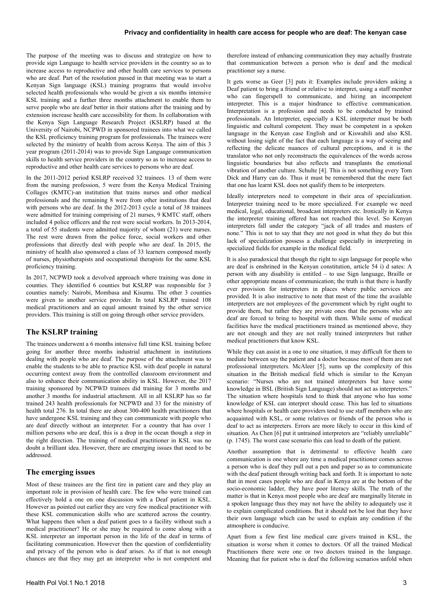The purpose of the meeting was to discuss and strategize on how to provide sign Language to health service providers in the country so as to increase access to reproductive and other health care services to persons who are deaf. Part of the resolution passed in that meeting was to start a Kenyan Sign language (KSL) training programs that would involve selected health professionals who would be given a six months intensive KSL training and a further three months attachment to enable them to serve people who are deaf better in their stations after the training and by extension increase health care accessibility for them. In collaboration with the Kenya Sign Language Research Project (KSLRP) based at the University of Nairobi, NCPWD in sponsored trainees into what we called the KSL proficiency training program for professionals. The trainees were selected by the ministry of health from across Kenya. The aim of this 3 year program (2011-2014) was to provide Sign Language communication skills to health service providers in the country so as to increase access to reproductive and other health care services to persons who are deaf.

In the 2011-2012 period KSLRP received 32 trainees. 13 of them were from the nursing profession, 5 were from the Kenya Medical Training Collages (KMTC)-an institution that trains nurses and other medical professionals and the remaining 8 were from other institutions that deal with persons who are deaf. In the 2012-2013 cycle a total of 38 trainees were admitted for training comprising of 21 nurses, 9 KMTC staff, others included 4 police officers and the rest were social workers. In 2013-2014, a total of 55 students were admitted majority of whom (21) were nurses. The rest were drawn from the police force, social workers and other professions that directly deal with people who are deaf. In 2015, the ministry of health also sponsored a class of 33 learners composed mostly of nurses, physiotherapists and occupational therapists for the same KSL proficiency training.

In 2017, NCPWD took a devolved approach where training was done in counties. They identified 6 counties but KSLRP was responsible for 3 counties namely: Nairobi, Mombasa and Kisumu. The other 3 counties were given to another service provider. In total KSLRP trained 108 medical practitioners and an equal amount trained by the other service providers. This training is still on going through other service providers.

## **The KSLRP training**

The trainees underwent a 6 months intensive full time KSL training before going for another three months industrial attachment in institutions dealing with people who are deaf. The purpose of the attachment was to enable the students to be able to practice KSL with deaf people in natural occurring context away from the controlled classroom environment and also to enhance their communication ability in KSL. However, the 2017 training sponsored by NCPWD trainees did training for 3 months and another 3 months for industrial attachment. All in all KSLRP has so far trained 243 health professionals for NCPWD and 33 for the ministry of health total 276. In total there are about 300-400 health practitioners that have undergone KSL training and they can communicate with people who are deaf directly without an interpreter. For a country that has over 1 million persons who are deaf, this is a drop in the ocean though a step in the right direction. The training of medical practitioner in KSL was no doubt a brilliant idea. However, there are emerging issues that need to be addressed.

### **The emerging issues**

Most of these trainees are the first tire in patient care and they play an important role in provision of health care. The few who were trained can effectively hold a one on one discussion with a Deaf patient in KSL. However as pointed out earlier they are very few medical practitioner with these KSL communication skills who are scattered across the country. What happens then when a deaf patient goes to a facility without such a medical practitioner? He or she may be required to come along with a KSL interpreter an important person in the life of the deaf in terms of facilitating communication. However then the question of confidentiality and privacy of the person who is deaf arises. As if that is not enough chances are that they may get an interpreter who is not competent and

therefore instead of enhancing communication they may actually frustrate that communication between a person who is deaf and the medical practitioner say a nurse.

It gets worse as Geer [3] puts it: Examples include providers asking a Deaf patient to bring a friend or relative to interpret, using a staff member who can fingerspell to communicate, and hiring an incompetent interpreter. This is a major hindrance to effective communication. Interpretation is a profession and needs to be conducted by trained professionals. An Interpreter, especially a KSL interpreter must be both linguistic and cultural competent. They must be competent in a spoken language in the Kenyan case English and or Kiswahili and also KSL without losing sight of the fact that each language is a way of seeing and reflecting the delicate nuances of cultural perceptions, and it is the translator who not only reconstructs the equivalences of the words across linguistic boundaries but also reflects and transplants the emotional vibration of another culture. Schulte [4]. This is not something every Tom Dick and Harry can do. Thus it must be remembered that the mere fact that one has learnt KSL does not qualify them to be interpreters.

Ideally interpreters need to competent in their area of specialization. Interpreter training need to be more specialized. For example we need medical, legal, educational, broadcast interpreters etc. Ironically in Kenya the interpreter training offered has not reached this level. So Kenyan interpreters fall under the category "jack of all trades and masters of none." This is not to say that they are not good in what they do but this lack of specialization possess a challenge especially in interpreting in specialized fields for example in the medical field.

It is also paradoxical that though the right to sign language for people who are deaf is enshrined in the Kenyan constitution, article 54 i) d sates: A person with any disability is entitled – to use Sign language, Braille or other appropriate means of communication; the truth is that there is hardly ever provision for interpreters in places where public services are provided. It is also instructive to note that most of the time the available interpreters are not employees of the government which by right ought to provide them, but rather they are private ones that the persons who are deaf are forced to bring to hospital with them. While some of medical facilities have the medical practitioners trained as mentioned above, they are not enough and they are not really trained interpreters but rather medical practitioners that know KSL.

While they can assist in a one to one situation, it may difficult for them to mediate between say the patient and a doctor because most of them are not professional interpreters. McAleer [5], sums up the complexity of this situation in the British medical field which is similar to the Kenyan scenario: "Nurses who are not trained interpreters but have some knowledge in BSL (British Sign Language) should not act as interpreters." The situation where hospitals tend to think that anyone who has some knowledge of KSL can interpret should cease. This has led to situations where hospitals or health care providers tend to use staff members who are acquainted with KSL, or some relatives or friends of the person who is deaf to act as interpreters. Errors are more likely to occur in this kind of situation. As Chen [6] put it untrained interpreters are "reliably unreliable" (p. 1745). The worst case scenario this can lead to death of the patient.

Another assumption that is detrimental to effective health care communication is one where any time a medical practitioner comes across a person who is deaf they pull out a pen and paper so as to communicate with the deaf patient through writing back and forth. It is important to note that in most cases people who are deaf in Kenya are at the bottom of the socio-economic ladder, they have poor literacy skills. The truth of the matter is that in Kenya most people who are deaf are marginally literate in a spoken language thus they may not have the ability to adequately use it to explain complicated conditions. But it should not be lost that they have their own language which can be used to explain any condition if the atmosphere is conducive.

Apart from a few first line medical care givers trained in KSL, the situation is worse when it comes to doctors. Of all the trained Medical Practitioners there were one or two doctors trained in the language. Meaning that for patient who is deaf the following scenarios unfold when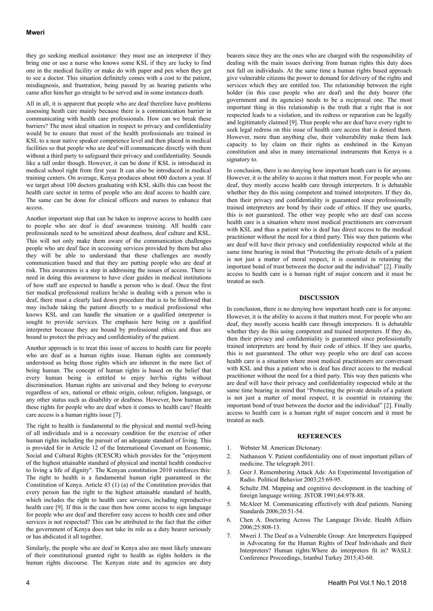they go seeking medical assistance: they must use an interpreter if they bring one or use a nurse who knows some KSL if they are lucky to find one in the medical facility or make do with paper and pen when they get to see a doctor. This situation definitely comes with a cost to the patient, misdiagnosis, and frustration, being passed by as hearing patients who came after him/her go straight to be served and in some instances death.

All in all, it is apparent that people who are deaf therefore have problems assessing heath care mainly because there is a communication barrier in communicating with health care professionals. How can we break these barriers? The most ideal situation in respect to privacy and confidentiality would be to ensure that most of the health professionals are trained in KSL to a near native speaker competence level and then placed in medical facilities so that people who are deaf will communicate directly with them without a third party to safeguard their privacy and confidentiality. Sounds like a tall order though. However, it can be done if KSL is introduced in medical school right from first year. It can also be introduced in medical training centers. On average, Kenya produces about 600 doctors a year. If we target about 100 doctors graduating with KSL skills this can boost the health care sector in terms of people who are deaf access to health care. The same can be done for clinical officers and nurses to enhance that access.

Another important step that can be taken to improve access to health care to people who are deaf is deaf awareness training. All health care professionals need to be sensitized about deafness, deaf culture and KSL. This will not only make them aware of the communication challenges people who are deaf face in accessing services provided by them but also they will be able to understand that these challenges are mostly communication based and that they are putting people who are deaf at risk. This awareness is a step in addressing the issues of access. There is need in doing this awareness to have clear guides in medical institutions of how staff are expected to handle a person who is deaf. Once the first tier medical professional realizes he/she is dealing with a person who is deaf, there must a clearly laid down procedure that is to be followed that may include taking the patient directly to a medical professional who knows KSL and can handle the situation or a qualified interpreter is sought to provide services. The emphasis here being on a qualified interpreter because they are bound by professional ethics and thus are bound to protect the privacy and confidentiality of the patient.

Another approach is to treat this issue of access to health care for people who are deaf as a human rights issue. Human rights are commonly understood as being those rights which are inherent in the mere fact of being human. The concept of human rights is based on the belief that every human being is entitled to enjoy her/his rights without discrimination. Human rights are universal and they belong to everyone regardless of sex, national or ethnic origin, colour, religion, language, or any other status such as disability or deafness. However, how human are these rights for people who are deaf when it comes to health care? Health care access is a human rights issue [7].

The right to health is fundamental to the physical and mental well-being of all individuals and is a necessary condition for the exercise of other human rights including the pursuit of an adequate standard of living. This is provided for in Article 12 of the International Covenant on Economic, Social and Cultural Rights (ICESCR) which provides for the "enjoyment of the highest attainable standard of physical and mental health conducive to living a life of dignity". The Kenyan constitution 2010 reinforces this: The right to health is a fundamental human right guaranteed in the Constitution of Kenya. Article 43 (1) (a) of the Constitution provides that every person has the right to the highest attainable standard of health, which includes the right to health care services, including reproductive health care [9]. If this is the case then how come access to sign language for people who are deaf and therefore easy access to health care and other services is not respected? This can be attributed to the fact that the either the government of Kenya does not take its role as a duty bearer seriously or has abdicated it all together.

Similarly, the people who are deaf in Kenya also are most likely unaware of their constitutional granted right to health as rights holders in the human rights discourse. The Kenyan state and its agencies are duty bearers since they are the ones who are charged with the responsibility of dealing with the main issues deriving from human rights this duty does not fall on individuals. At the same time a human rights based approach give vulnerable citizens the power to demand for delivery of the rights and services which they are entitled too. The relationship between the right holder (in this case people who are deaf) and the duty bearer (the government and its agencies) needs to be a reciprocal one. The most important thing in this relationship is the truth that a right that is not respected leads to a violation, and its redress or reparation can be legally and legitimately claimed [9]. Thus people who are deaf have every right to seek legal redress on this issue of health care access that is denied them. However, more than anything else, their vulnerability make them lack capacity to lay claim on their rights as enshrined in the Kenyan constitution and also in many international instruments that Kenya is a signatory to.

In conclusion, there is no denying how important heath care is for anyone. However, it is the ability to access it that matters most. For people who are deaf, they mostly access health care through interpreters. It is debatable whether they do this using competent and trained interpreters. If they do, then their privacy and confidentiality is guaranteed since professionally trained interpreters are bond by their code of ethics. If they use quarks, this is not guaranteed. The other way people who are deaf can access health care is a situation where most medical practitioners are conversant with KSL and thus a patient who is deaf has direct access to the medical practitioner without the need for a third party. This way then patients who are deaf will have their privacy and confidentiality respected while at the same time bearing in mind that "Protecting the private details of a patient is not just a matter of moral respect, it is essential in retaining the important bond of trust between the doctor and the individual" [2]. Finally access to health care is a human right of major concern and it must be treated as such.

### **DISCUSSION**

In conclusion, there is no denying how important heath care is for anyone. However, it is the ability to access it that matters most. For people who are deaf, they mostly access health care through interpreters. It is debatable whether they do this using competent and trained interpreters. If they do, then their privacy and confidentiality is guaranteed since professionally trained interpreters are bond by their code of ethics. If they use quarks, this is not guaranteed. The other way people who are deaf can access health care is a situation where most medical practitioners are conversant with KSL and thus a patient who is deaf has direct access to the medical practitioner without the need for a third party. This way then patients who are deaf will have their privacy and confidentiality respected while at the same time bearing in mind that "Protecting the private details of a patient is not just a matter of moral respect, it is essential in retaining the important bond of trust between the doctor and the individual" [2]. Finally access to health care is a human right of major concern and it must be treated as such.

#### **REFERENCES**

- 1. Webster M. American Dictonary.
- 2. Nathanson V. Patient confidentiality one of most important pillars of medicine. The telegraph 2011.
- 3. Geer J. Remembering Attack Ads: An Experimental Investigation of Radio. Political Behavior 2003;25:69-95.
- 4. Schultz JM. Mapping and cognitive development in the teaching of foreign language writing. JSTOR 1991;64:978-88.
- 5. McAleer M. Communicating effectively with deaf patients. Nursing Standards 2006;20:51-54.
- 6. Chen A. Doctoring Across The Language Divide. Health Affairs 2006;25:808-13.
- 7. Mweri J. The Deaf as a Vulnerable Group: Are Interpreters Equipped in Advocating for the Human Rights of Deaf Individuals and their Interpreters? Human rights:Where do interpreters fit in? WASLI: Conference Proceedings, Istanbul Turkey 2015;43-60.